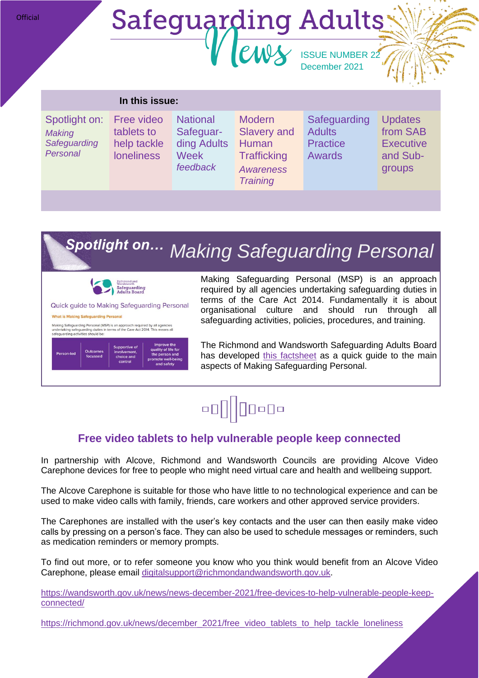#### **Official**

# **Safeguarding Adults ISSUE NUMBER 22**

#### **In this issue:**

Spotlight on: *Making Safeguarding Personal*

Free video tablets to help tackle loneliness

**National** Safeguarding Adults **Week** *feedback*

**Modern** Slavery and Human **Trafficking** *Awareness Training*

**Safeguarding Adults Practice** Awards

December 2021

**Updates** from SAB **Executive** and Subgroups

# *Making Safeguarding Personal Spotlight on…*



#### Quick quide to Making Safeguarding Personal

at is Making Safeguarding Pers

Making Safeguarding Personal (MSP) is an approvindertaking safeguarding duties in terms of the<br>safeguarding activities should be: s an approach required by all agencies<br>ms of the Care Act 2014. This means all



Making Safeguarding Personal (MSP) is an approach required by all agencies undertaking safeguarding duties in terms of the Care Act 2014. Fundamentally it is about organisational culture and should run through all safeguarding activities, policies, procedures, and training.

The Richmond and Wandsworth Safeguarding Adults Board has developed [this factsheet](https://www.sabrichmondandwandsworth.org.uk/media/1518/making_safeguarding_personal_factsheet.pdf) as a quick guide to the main aspects of Making Safeguarding Personal.

# 

# **Free video tablets to help vulnerable people keep connected**

In partnership with Alcove, Richmond and Wandsworth Councils are providing Alcove Video Carephone devices for free to people who might need virtual care and health and wellbeing support.

The Alcove Carephone is suitable for those who have little to no technological experience and can be used to make video calls with family, friends, care workers and other approved service providers.

The Carephones are installed with the user's key contacts and the user can then easily make video calls by pressing on a person's face. They can also be used to schedule messages or reminders, such as medication reminders or memory prompts.

To find out more, or to refer someone you know who you think would benefit from an Alcove Video Carephone, please email [digitalsupport@richmondandwandsworth.gov.uk.](mailto:digitalsupport@richmondandwandsworth.gov.uk)

[https://wandsworth.gov.uk/news/news-december-2021/free-devices-to-help-vulnerable-people-keep](https://wandsworth.gov.uk/news/news-december-2021/free-devices-to-help-vulnerable-people-keep-connected/)[connected/](https://wandsworth.gov.uk/news/news-december-2021/free-devices-to-help-vulnerable-people-keep-connected/)

[https://richmond.gov.uk/news/december\\_2021/free\\_video\\_tablets\\_to\\_help\\_tackle\\_loneliness](https://richmond.gov.uk/news/december_2021/free_video_tablets_to_help_tackle_loneliness)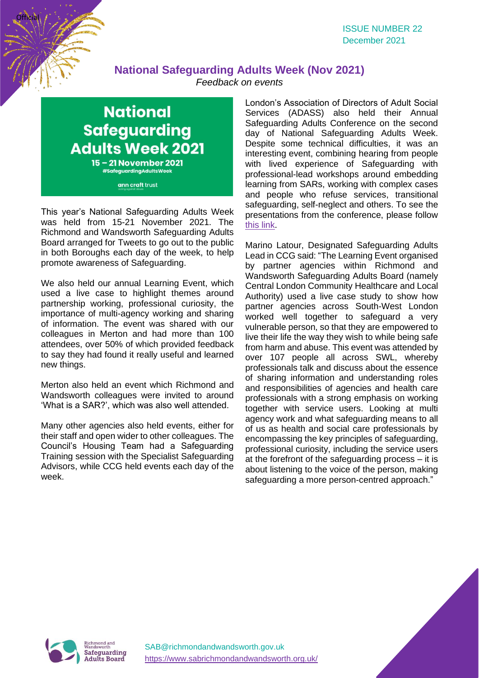ISSUE NUMBER 22 December 2021

# **National Safeguarding Adults Week (Nov 2021)**

*Feedback on events*

**National Safeguarding Adults Week 2021** 

Official

15 - 21 November 2021 #SafeguardingAdultsWeek

ann craft trust

This year's National Safeguarding Adults Week was held from 15-21 November 2021. The Richmond and Wandsworth Safeguarding Adults Board arranged for Tweets to go out to the public in both Boroughs each day of the week, to help promote awareness of Safeguarding.

We also held our annual Learning Event, which used a live case to highlight themes around partnership working, professional curiosity, the importance of multi-agency working and sharing of information. The event was shared with our colleagues in Merton and had more than 100 attendees, over 50% of which provided feedback to say they had found it really useful and learned new things.

Merton also held an event which Richmond and Wandsworth colleagues were invited to around 'What is a SAR?', which was also well attended.

Many other agencies also held events, either for their staff and open wider to other colleagues. The Council's Housing Team had a Safeguarding Training session with the Specialist Safeguarding Advisors, while CCG held events each day of the week.

London's Association of Directors of Adult Social Services (ADASS) also held their Annual Safeguarding Adults Conference on the second day of National Safeguarding Adults Week. Despite some technical difficulties, it was an interesting event, combining hearing from people with lived experience of Safeguarding with professional-lead workshops around embedding learning from SARs, working with complex cases and people who refuse services, transitional safeguarding, self-neglect and others. To see the presentations from the conference, please follow [this link.](https://londonadass.org.uk/news/safeguarding-adults-week-2021-15-20-november-lsab-schedule-of-events-including-annual-lsab-conference/)

Marino Latour, Designated Safeguarding Adults Lead in CCG said: "The Learning Event organised by partner agencies within Richmond and Wandsworth Safeguarding Adults Board (namely Central London Community Healthcare and Local Authority) used a live case study to show how partner agencies across South-West London worked well together to safeguard a very vulnerable person, so that they are empowered to live their life the way they wish to while being safe from harm and abuse. This event was attended by over 107 people all across SWL, whereby professionals talk and discuss about the essence of sharing information and understanding roles and responsibilities of agencies and health care professionals with a strong emphasis on working together with service users. Looking at multi agency work and what safeguarding means to all of us as health and social care professionals by encompassing the key principles of safeguarding, professional curiosity, including the service users at the forefront of the safeguarding process – it is about listening to the voice of the person, making safeguarding a more person-centred approach."



[SAB@richmondandwandsworth.gov.uk](mailto:SAB@richmondandwandsworth.gov.uk) <https://www.sabrichmondandwandsworth.org.uk/>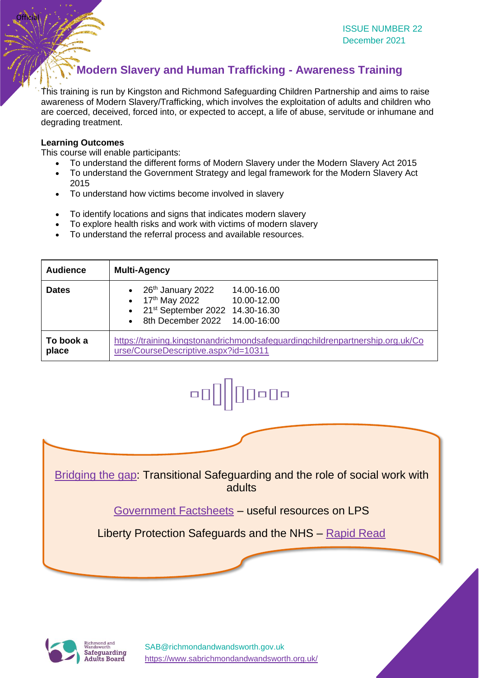## **Modern Slavery and Human Trafficking - Awareness Training**

This training is run by Kingston and Richmond Safeguarding Children Partnership and aims to raise awareness of Modern Slavery/Trafficking, which involves the exploitation of adults and children who are coerced, deceived, forced into, or expected to accept, a life of abuse, servitude or inhumane and degrading treatment.

#### **Learning Outcomes**

Official

This course will enable participants:

- To understand the different forms of Modern Slavery under the Modern Slavery Act 2015
- To understand the Government Strategy and legal framework for the Modern Slavery Act 2015
- To understand how victims become involved in slavery
- To identify locations and signs that indicates modern slavery
- To explore health risks and work with victims of modern slavery
- To understand the referral process and available resources.

| <b>Audience</b>    | <b>Multi-Agency</b>                                                                                                                                                                                |  |
|--------------------|----------------------------------------------------------------------------------------------------------------------------------------------------------------------------------------------------|--|
| <b>Dates</b>       | 26 <sup>th</sup> January 2022<br>14.00-16.00<br>17 <sup>th</sup> May 2022<br>10.00-12.00<br>$\bullet$<br>21 <sup>st</sup> September 2022 14.30-16.30<br>8th December 2022 14.00-16:00<br>$\bullet$ |  |
| To book a<br>place | https://training.kingstonandrichmondsafeguardingchildrenpartnership.org.uk/Co<br>urse/CourseDescriptive.aspx?id=10311                                                                              |  |



[Bridging the gap:](https://assets.publishing.service.gov.uk/government/uploads/system/uploads/attachment_data/file/990426/dhsc_transitional_safeguarding_report_bridging_the_gap_web.pdf) Transitional Safeguarding and the role of social work with adults [Government Factsheets](https://www.gov.uk/government/publications/liberty-protection-safeguards-factsheets) – useful resources on LPS Liberty Protection Safeguards and the NHS – [Rapid Read](https://www.governmentevents.co.uk/wp-content/uploads/2020/04/MCA_LPS_GG.pdf)

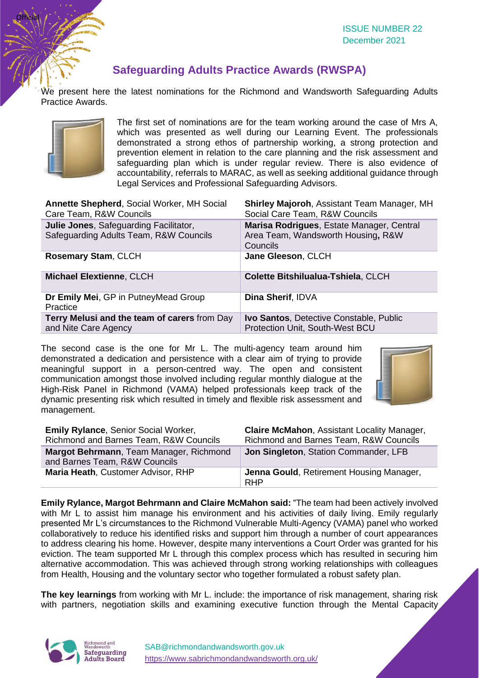ISSUE NUMBER 22 December 2021

### **Safeguarding Adults Practice Awards (RWSPA)**

We present here the latest nominations for the Richmond and Wandsworth Safeguarding Adults Practice Awards.



Official

The first set of nominations are for the team working around the case of Mrs A, which was presented as well during our Learning Event. The professionals demonstrated a strong ethos of partnership working, a strong protection and prevention element in relation to the care planning and the risk assessment and safeguarding plan which is under regular review. There is also evidence of accountability, referrals to MARAC, as well as seeking additional guidance through Legal Services and Professional Safeguarding Advisors.

| Annette Shepherd, Social Worker, MH Social<br>Care Team, R&W Councils                   | Shirley Majoroh, Assistant Team Manager, MH<br>Social Care Team, R&W Councils               |
|-----------------------------------------------------------------------------------------|---------------------------------------------------------------------------------------------|
| <b>Julie Jones, Safeguarding Facilitator,</b><br>Safeguarding Adults Team, R&W Councils | Marisa Rodrigues, Estate Manager, Central<br>Area Team, Wandsworth Housing, R&W<br>Councils |
| <b>Rosemary Stam, CLCH</b>                                                              | Jane Gleeson, CLCH                                                                          |
| <b>Michael Elextienne, CLCH</b>                                                         | <b>Colette Bitshilualua-Tshiela, CLCH</b>                                                   |
| Dr Emily Mei, GP in PutneyMead Group<br>Practice                                        | Dina Sherif, IDVA                                                                           |
| Terry Melusi and the team of carers from Day<br>and Nite Care Agency                    | <b>Ivo Santos, Detective Constable, Public</b><br>Protection Unit, South-West BCU           |

The second case is the one for Mr L. The multi-agency team around him demonstrated a dedication and persistence with a clear aim of trying to provide meaningful support in a person-centred way. The open and consistent communication amongst those involved including regular monthly dialogue at the High-Risk Panel in Richmond (VAMA) helped professionals keep track of the dynamic presenting risk which resulted in timely and flexible risk assessment and management.



| <b>Emily Rylance, Senior Social Worker,</b><br>Richmond and Barnes Team, R&W Councils | <b>Claire McMahon, Assistant Locality Manager,</b><br>Richmond and Barnes Team, R&W Councils |
|---------------------------------------------------------------------------------------|----------------------------------------------------------------------------------------------|
| Margot Behrmann, Team Manager, Richmond<br>and Barnes Team, R&W Councils              | Jon Singleton, Station Commander, LFB                                                        |
| Maria Heath, Customer Advisor, RHP                                                    | <b>Jenna Gould, Retirement Housing Manager,</b><br><b>RHP</b>                                |

**Emily Rylance, Margot Behrmann and Claire McMahon said:** "The team had been actively involved with Mr L to assist him manage his environment and his activities of daily living. Emily regularly presented Mr L's circumstances to the Richmond Vulnerable Multi-Agency (VAMA) panel who worked collaboratively to reduce his identified risks and support him through a number of court appearances to address clearing his home. However, despite many interventions a Court Order was granted for his eviction. The team supported Mr L through this complex process which has resulted in securing him alternative accommodation. This was achieved through strong working relationships with colleagues from Health, Housing and the voluntary sector who together formulated a robust safety plan.

**The key learnings** from working with Mr L. include: the importance of risk management, sharing risk with partners, negotiation skills and examining executive function through the Mental Capacity